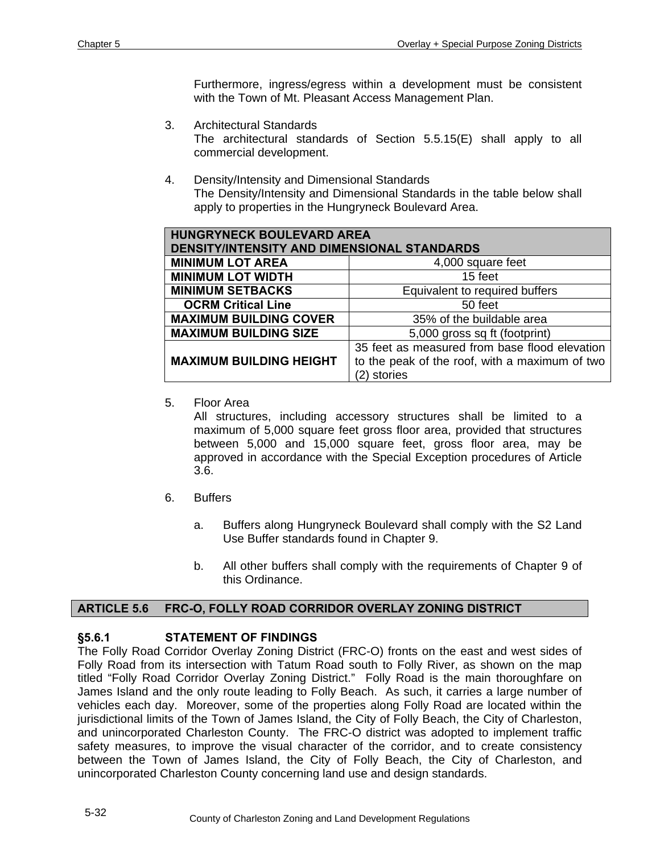Furthermore, ingress/egress within a development must be consistent with the Town of Mt. Pleasant Access Management Plan.

- 3. Architectural Standards The architectural standards of Section 5.5.15(E) shall apply to all commercial development.
- 4. Density/Intensity and Dimensional Standards The Density/Intensity and Dimensional Standards in the table below shall apply to properties in the Hungryneck Boulevard Area.

| <b>HUNGRYNECK BOULEVARD AREA</b><br><b>DENSITY/INTENSITY AND DIMENSIONAL STANDARDS</b> |                                                |
|----------------------------------------------------------------------------------------|------------------------------------------------|
| <b>MINIMUM LOT AREA</b>                                                                | 4,000 square feet                              |
| <b>MINIMUM LOT WIDTH</b>                                                               | 15 feet                                        |
| <b>MINIMUM SETBACKS</b>                                                                | Equivalent to required buffers                 |
| <b>OCRM Critical Line</b>                                                              | 50 feet                                        |
| <b>MAXIMUM BUILDING COVER</b>                                                          | 35% of the buildable area                      |
| <b>MAXIMUM BUILDING SIZE</b>                                                           | 5,000 gross sq ft (footprint)                  |
|                                                                                        | 35 feet as measured from base flood elevation  |
| <b>MAXIMUM BUILDING HEIGHT</b>                                                         | to the peak of the roof, with a maximum of two |
|                                                                                        | stories                                        |

5. Floor Area

All structures, including accessory structures shall be limited to a maximum of 5,000 square feet gross floor area, provided that structures between 5,000 and 15,000 square feet, gross floor area, may be approved in accordance with the Special Exception procedures of Article 3.6.

- 6. Buffers
	- a. Buffers along Hungryneck Boulevard shall comply with the S2 Land Use Buffer standards found in Chapter 9.
	- b. All other buffers shall comply with the requirements of Chapter 9 of this Ordinance.

#### **ARTICLE 5.6 FRC-O, FOLLY ROAD CORRIDOR OVERLAY ZONING DISTRICT**

#### **§5.6.1 STATEMENT OF FINDINGS**

The Folly Road Corridor Overlay Zoning District (FRC-O) fronts on the east and west sides of Folly Road from its intersection with Tatum Road south to Folly River, as shown on the map titled "Folly Road Corridor Overlay Zoning District." Folly Road is the main thoroughfare on James Island and the only route leading to Folly Beach. As such, it carries a large number of vehicles each day. Moreover, some of the properties along Folly Road are located within the jurisdictional limits of the Town of James Island, the City of Folly Beach, the City of Charleston, and unincorporated Charleston County. The FRC-O district was adopted to implement traffic safety measures, to improve the visual character of the corridor, and to create consistency between the Town of James Island, the City of Folly Beach, the City of Charleston, and unincorporated Charleston County concerning land use and design standards.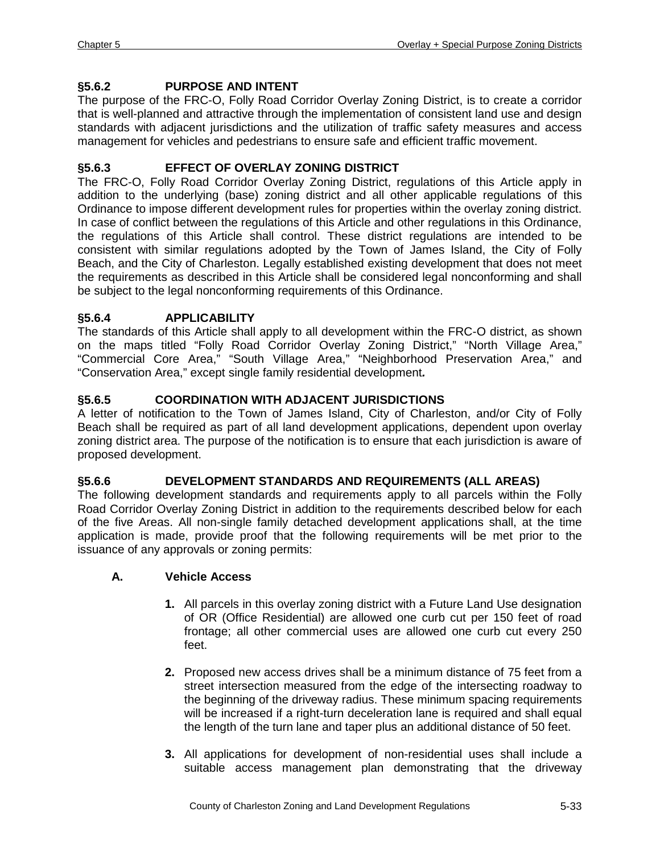# **§5.6.2 PURPOSE AND INTENT**

The purpose of the FRC-O, Folly Road Corridor Overlay Zoning District, is to create a corridor that is well-planned and attractive through the implementation of consistent land use and design standards with adjacent jurisdictions and the utilization of traffic safety measures and access management for vehicles and pedestrians to ensure safe and efficient traffic movement.

# **§5.6.3 EFFECT OF OVERLAY ZONING DISTRICT**

The FRC-O, Folly Road Corridor Overlay Zoning District, regulations of this Article apply in addition to the underlying (base) zoning district and all other applicable regulations of this Ordinance to impose different development rules for properties within the overlay zoning district. In case of conflict between the regulations of this Article and other regulations in this Ordinance, the regulations of this Article shall control. These district regulations are intended to be consistent with similar regulations adopted by the Town of James Island, the City of Folly Beach, and the City of Charleston. Legally established existing development that does not meet the requirements as described in this Article shall be considered legal nonconforming and shall be subject to the legal nonconforming requirements of this Ordinance.

### **§5.6.4 APPLICABILITY**

The standards of this Article shall apply to all development within the FRC-O district, as shown on the maps titled "Folly Road Corridor Overlay Zoning District," "North Village Area," "Commercial Core Area," "South Village Area," "Neighborhood Preservation Area," and "Conservation Area," except single family residential development*.*

### **§5.6.5 COORDINATION WITH ADJACENT JURISDICTIONS**

A letter of notification to the Town of James Island, City of Charleston, and/or City of Folly Beach shall be required as part of all land development applications, dependent upon overlay zoning district area. The purpose of the notification is to ensure that each jurisdiction is aware of proposed development.

# **§5.6.6 DEVELOPMENT STANDARDS AND REQUIREMENTS (ALL AREAS)**

The following development standards and requirements apply to all parcels within the Folly Road Corridor Overlay Zoning District in addition to the requirements described below for each of the five Areas. All non-single family detached development applications shall, at the time application is made, provide proof that the following requirements will be met prior to the issuance of any approvals or zoning permits:

#### **A. Vehicle Access**

- **1.** All parcels in this overlay zoning district with a Future Land Use designation of OR (Office Residential) are allowed one curb cut per 150 feet of road frontage; all other commercial uses are allowed one curb cut every 250 feet.
- **2.** Proposed new access drives shall be a minimum distance of 75 feet from a street intersection measured from the edge of the intersecting roadway to the beginning of the driveway radius. These minimum spacing requirements will be increased if a right-turn deceleration lane is required and shall equal the length of the turn lane and taper plus an additional distance of 50 feet.
- **3.** All applications for development of non-residential uses shall include a suitable access management plan demonstrating that the driveway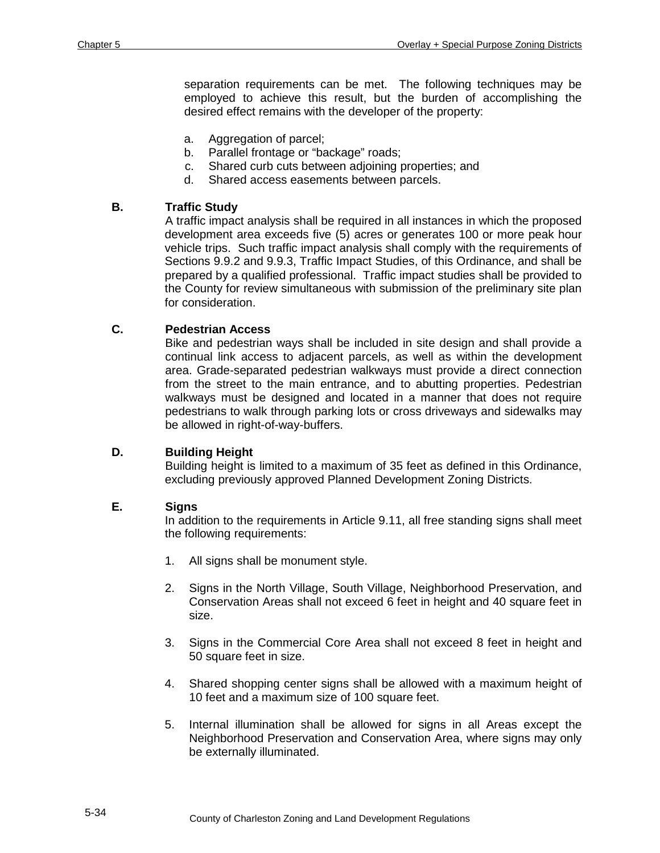separation requirements can be met. The following techniques may be employed to achieve this result, but the burden of accomplishing the desired effect remains with the developer of the property:

- a. Aggregation of parcel;
- b. Parallel frontage or "backage" roads;
- c. Shared curb cuts between adjoining properties; and
- d. Shared access easements between parcels.

#### **B. Traffic Study**

A traffic impact analysis shall be required in all instances in which the proposed development area exceeds five (5) acres or generates 100 or more peak hour vehicle trips. Such traffic impact analysis shall comply with the requirements of Sections 9.9.2 and 9.9.3, Traffic Impact Studies, of this Ordinance, and shall be prepared by a qualified professional. Traffic impact studies shall be provided to the County for review simultaneous with submission of the preliminary site plan for consideration.

### **C. Pedestrian Access**

Bike and pedestrian ways shall be included in site design and shall provide a continual link access to adjacent parcels, as well as within the development area. Grade-separated pedestrian walkways must provide a direct connection from the street to the main entrance, and to abutting properties. Pedestrian walkways must be designed and located in a manner that does not require pedestrians to walk through parking lots or cross driveways and sidewalks may be allowed in right-of-way-buffers.

#### **D. Building Height**

Building height is limited to a maximum of 35 feet as defined in this Ordinance, excluding previously approved Planned Development Zoning Districts.

#### **E. Signs**

In addition to the requirements in Article 9.11, all free standing signs shall meet the following requirements:

- 1. All signs shall be monument style.
- 2. Signs in the North Village, South Village, Neighborhood Preservation, and Conservation Areas shall not exceed 6 feet in height and 40 square feet in size.
- 3. Signs in the Commercial Core Area shall not exceed 8 feet in height and 50 square feet in size.
- 4. Shared shopping center signs shall be allowed with a maximum height of 10 feet and a maximum size of 100 square feet.
- 5. Internal illumination shall be allowed for signs in all Areas except the Neighborhood Preservation and Conservation Area, where signs may only be externally illuminated.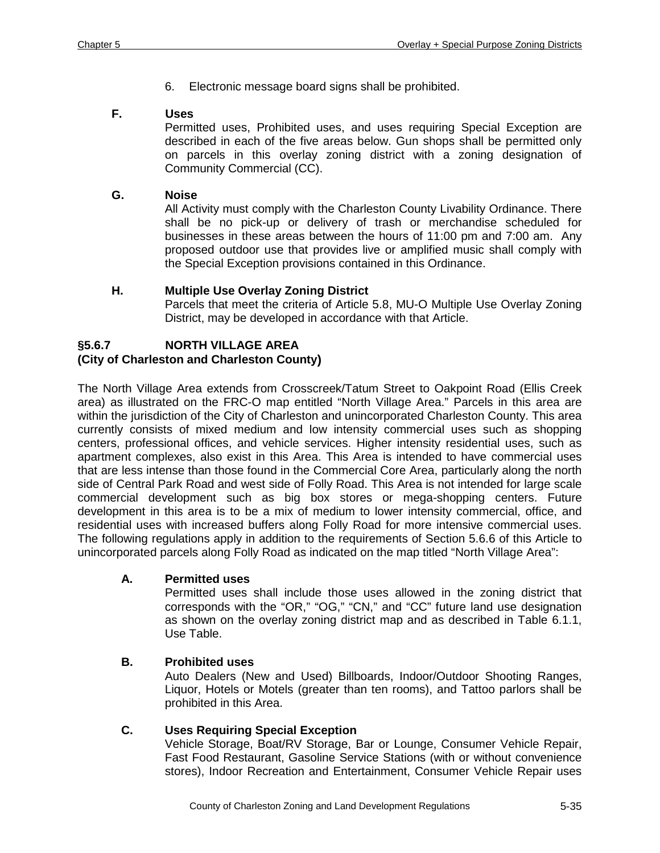6. Electronic message board signs shall be prohibited.

### **F. Uses**

Permitted uses, Prohibited uses, and uses requiring Special Exception are described in each of the five areas below. Gun shops shall be permitted only on parcels in this overlay zoning district with a zoning designation of Community Commercial (CC).

# **G. Noise**

All Activity must comply with the Charleston County Livability Ordinance. There shall be no pick-up or delivery of trash or merchandise scheduled for businesses in these areas between the hours of 11:00 pm and 7:00 am. Any proposed outdoor use that provides live or amplified music shall comply with the Special Exception provisions contained in this Ordinance.

### **H. Multiple Use Overlay Zoning District**

Parcels that meet the criteria of Article 5.8, MU-O Multiple Use Overlay Zoning District, may be developed in accordance with that Article.

# **§5.6.7 NORTH VILLAGE AREA**

# **(City of Charleston and Charleston County)**

The North Village Area extends from Crosscreek/Tatum Street to Oakpoint Road (Ellis Creek area) as illustrated on the FRC-O map entitled "North Village Area." Parcels in this area are within the jurisdiction of the City of Charleston and unincorporated Charleston County. This area currently consists of mixed medium and low intensity commercial uses such as shopping centers, professional offices, and vehicle services. Higher intensity residential uses, such as apartment complexes, also exist in this Area. This Area is intended to have commercial uses that are less intense than those found in the Commercial Core Area, particularly along the north side of Central Park Road and west side of Folly Road. This Area is not intended for large scale commercial development such as big box stores or mega-shopping centers. Future development in this area is to be a mix of medium to lower intensity commercial, office, and residential uses with increased buffers along Folly Road for more intensive commercial uses. The following regulations apply in addition to the requirements of Section 5.6.6 of this Article to unincorporated parcels along Folly Road as indicated on the map titled "North Village Area":

#### **A. Permitted uses**

Permitted uses shall include those uses allowed in the zoning district that corresponds with the "OR," "OG," "CN," and "CC" future land use designation as shown on the overlay zoning district map and as described in Table 6.1.1, Use Table.

#### **B. Prohibited uses**

Auto Dealers (New and Used) Billboards, Indoor/Outdoor Shooting Ranges, Liquor, Hotels or Motels (greater than ten rooms), and Tattoo parlors shall be prohibited in this Area.

#### **C. Uses Requiring Special Exception**

Vehicle Storage, Boat/RV Storage, Bar or Lounge, Consumer Vehicle Repair, Fast Food Restaurant, Gasoline Service Stations (with or without convenience stores), Indoor Recreation and Entertainment, Consumer Vehicle Repair uses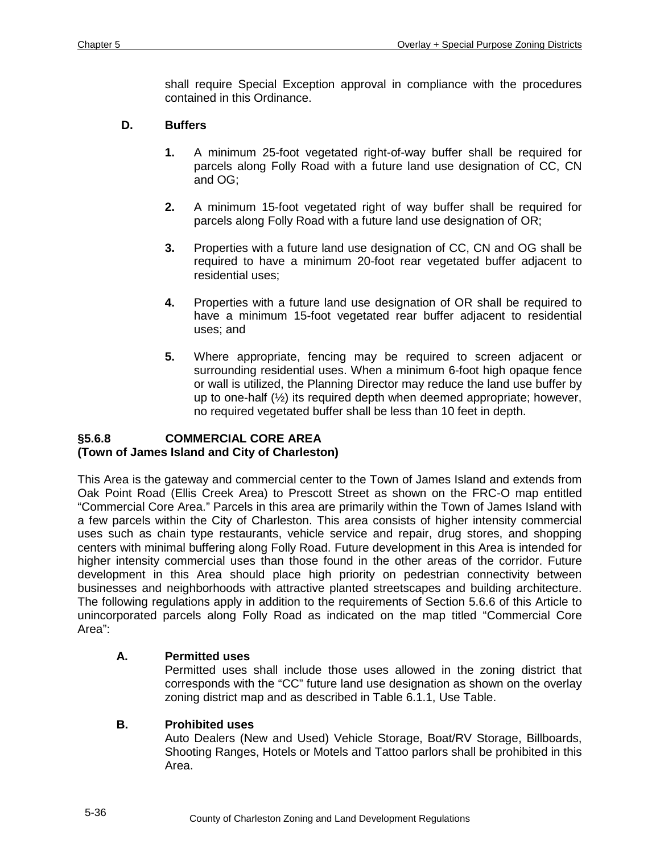shall require Special Exception approval in compliance with the procedures contained in this Ordinance.

### **D. Buffers**

- **1.** A minimum 25-foot vegetated right-of-way buffer shall be required for parcels along Folly Road with a future land use designation of CC, CN and OG;
- **2.** A minimum 15-foot vegetated right of way buffer shall be required for parcels along Folly Road with a future land use designation of OR;
- **3.** Properties with a future land use designation of CC, CN and OG shall be required to have a minimum 20-foot rear vegetated buffer adjacent to residential uses;
- **4.** Properties with a future land use designation of OR shall be required to have a minimum 15-foot vegetated rear buffer adjacent to residential uses; and
- **5.** Where appropriate, fencing may be required to screen adjacent or surrounding residential uses. When a minimum 6-foot high opaque fence or wall is utilized, the Planning Director may reduce the land use buffer by up to one-half (½) its required depth when deemed appropriate; however, no required vegetated buffer shall be less than 10 feet in depth.

### **§5.6.8 COMMERCIAL CORE AREA (Town of James Island and City of Charleston)**

This Area is the gateway and commercial center to the Town of James Island and extends from Oak Point Road (Ellis Creek Area) to Prescott Street as shown on the FRC-O map entitled "Commercial Core Area." Parcels in this area are primarily within the Town of James Island with a few parcels within the City of Charleston. This area consists of higher intensity commercial uses such as chain type restaurants, vehicle service and repair, drug stores, and shopping centers with minimal buffering along Folly Road. Future development in this Area is intended for higher intensity commercial uses than those found in the other areas of the corridor. Future development in this Area should place high priority on pedestrian connectivity between businesses and neighborhoods with attractive planted streetscapes and building architecture. The following regulations apply in addition to the requirements of Section 5.6.6 of this Article to unincorporated parcels along Folly Road as indicated on the map titled "Commercial Core Area":

# **A. Permitted uses**

Permitted uses shall include those uses allowed in the zoning district that corresponds with the "CC" future land use designation as shown on the overlay zoning district map and as described in Table 6.1.1, Use Table.

# **B. Prohibited uses**

Auto Dealers (New and Used) Vehicle Storage, Boat/RV Storage, Billboards, Shooting Ranges, Hotels or Motels and Tattoo parlors shall be prohibited in this Area.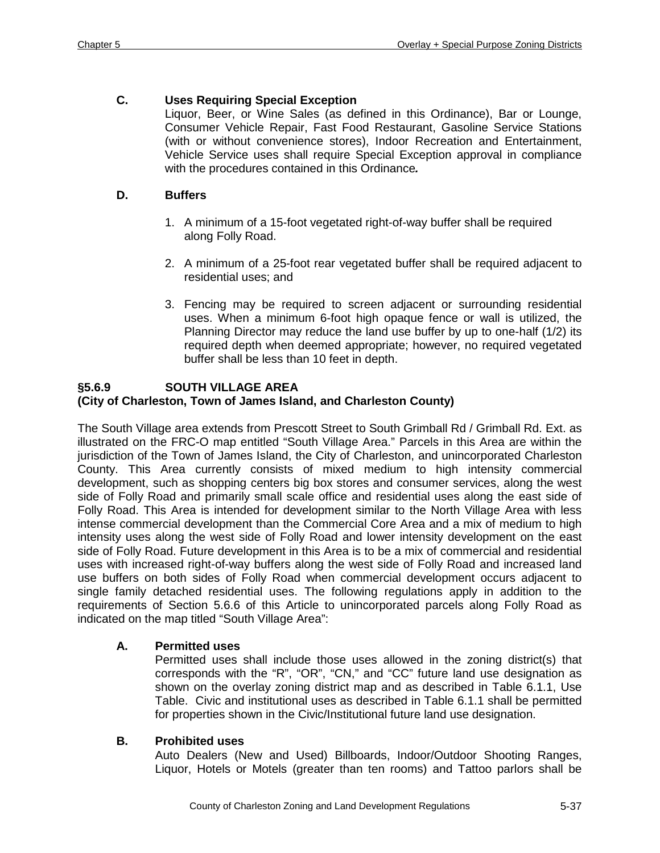# **C. Uses Requiring Special Exception**

Liquor, Beer, or Wine Sales (as defined in this Ordinance), Bar or Lounge, Consumer Vehicle Repair, Fast Food Restaurant, Gasoline Service Stations (with or without convenience stores), Indoor Recreation and Entertainment, Vehicle Service uses shall require Special Exception approval in compliance with the procedures contained in this Ordinance*.*

#### **D. Buffers**

- 1. A minimum of a 15-foot vegetated right-of-way buffer shall be required along Folly Road.
- 2. A minimum of a 25-foot rear vegetated buffer shall be required adjacent to residential uses; and
- 3. Fencing may be required to screen adjacent or surrounding residential uses. When a minimum 6-foot high opaque fence or wall is utilized, the Planning Director may reduce the land use buffer by up to one-half (1/2) its required depth when deemed appropriate; however, no required vegetated buffer shall be less than 10 feet in depth.

#### **§5.6.9 SOUTH VILLAGE AREA (City of Charleston, Town of James Island, and Charleston County)**

The South Village area extends from Prescott Street to South Grimball Rd / Grimball Rd. Ext. as illustrated on the FRC-O map entitled "South Village Area." Parcels in this Area are within the jurisdiction of the Town of James Island, the City of Charleston, and unincorporated Charleston County. This Area currently consists of mixed medium to high intensity commercial development, such as shopping centers big box stores and consumer services, along the west side of Folly Road and primarily small scale office and residential uses along the east side of Folly Road. This Area is intended for development similar to the North Village Area with less intense commercial development than the Commercial Core Area and a mix of medium to high intensity uses along the west side of Folly Road and lower intensity development on the east side of Folly Road. Future development in this Area is to be a mix of commercial and residential uses with increased right-of-way buffers along the west side of Folly Road and increased land use buffers on both sides of Folly Road when commercial development occurs adjacent to single family detached residential uses. The following regulations apply in addition to the requirements of Section 5.6.6 of this Article to unincorporated parcels along Folly Road as indicated on the map titled "South Village Area":

# **A. Permitted uses**

Permitted uses shall include those uses allowed in the zoning district(s) that corresponds with the "R", "OR", "CN," and "CC" future land use designation as shown on the overlay zoning district map and as described in Table 6.1.1, Use Table. Civic and institutional uses as described in Table 6.1.1 shall be permitted for properties shown in the Civic/Institutional future land use designation.

#### **B. Prohibited uses**

Auto Dealers (New and Used) Billboards, Indoor/Outdoor Shooting Ranges, Liquor, Hotels or Motels (greater than ten rooms) and Tattoo parlors shall be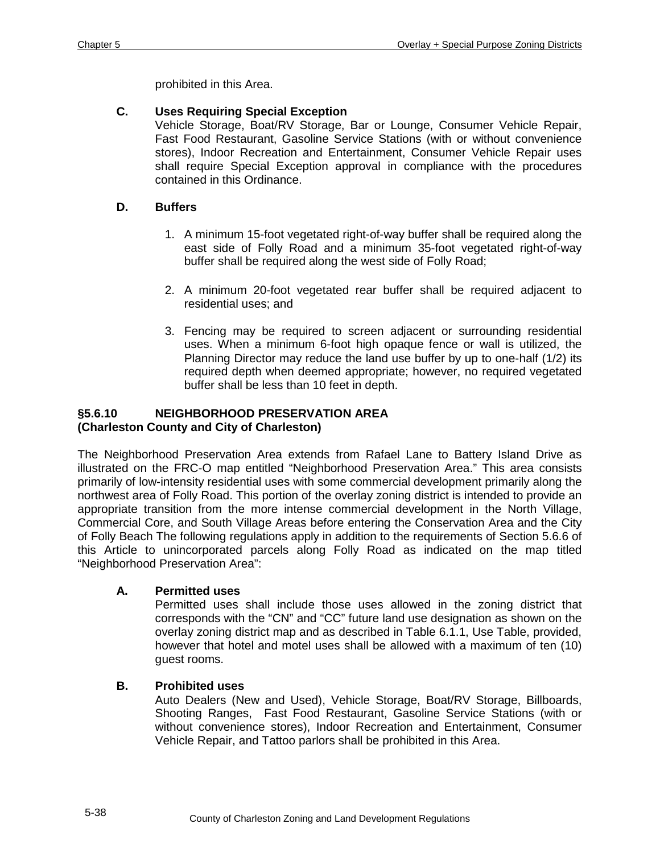prohibited in this Area.

# **C. Uses Requiring Special Exception**

Vehicle Storage, Boat/RV Storage, Bar or Lounge, Consumer Vehicle Repair, Fast Food Restaurant, Gasoline Service Stations (with or without convenience stores), Indoor Recreation and Entertainment, Consumer Vehicle Repair uses shall require Special Exception approval in compliance with the procedures contained in this Ordinance.

# **D. Buffers**

- 1. A minimum 15-foot vegetated right-of-way buffer shall be required along the east side of Folly Road and a minimum 35-foot vegetated right-of-way buffer shall be required along the west side of Folly Road;
- 2. A minimum 20-foot vegetated rear buffer shall be required adjacent to residential uses; and
- 3. Fencing may be required to screen adjacent or surrounding residential uses. When a minimum 6-foot high opaque fence or wall is utilized, the Planning Director may reduce the land use buffer by up to one-half (1/2) its required depth when deemed appropriate; however, no required vegetated buffer shall be less than 10 feet in depth.

# **§5.6.10 NEIGHBORHOOD PRESERVATION AREA (Charleston County and City of Charleston)**

The Neighborhood Preservation Area extends from Rafael Lane to Battery Island Drive as illustrated on the FRC-O map entitled "Neighborhood Preservation Area." This area consists primarily of low-intensity residential uses with some commercial development primarily along the northwest area of Folly Road. This portion of the overlay zoning district is intended to provide an appropriate transition from the more intense commercial development in the North Village, Commercial Core, and South Village Areas before entering the Conservation Area and the City of Folly Beach The following regulations apply in addition to the requirements of Section 5.6.6 of this Article to unincorporated parcels along Folly Road as indicated on the map titled "Neighborhood Preservation Area":

# **A. Permitted uses**

Permitted uses shall include those uses allowed in the zoning district that corresponds with the "CN" and "CC" future land use designation as shown on the overlay zoning district map and as described in Table 6.1.1, Use Table, provided, however that hotel and motel uses shall be allowed with a maximum of ten (10) guest rooms.

# **B. Prohibited uses**

Auto Dealers (New and Used), Vehicle Storage, Boat/RV Storage, Billboards, Shooting Ranges, Fast Food Restaurant, Gasoline Service Stations (with or without convenience stores), Indoor Recreation and Entertainment, Consumer Vehicle Repair, and Tattoo parlors shall be prohibited in this Area.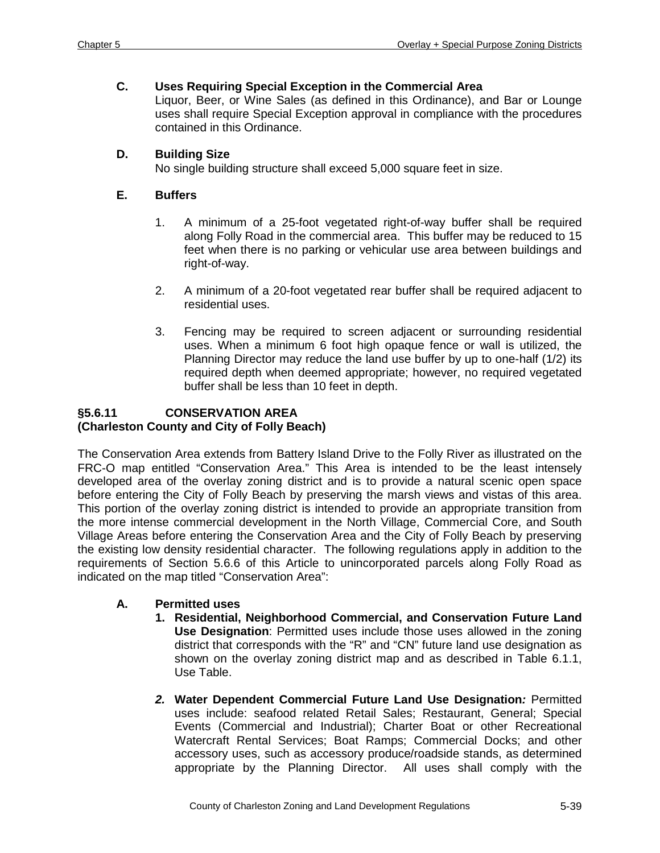### **C. Uses Requiring Special Exception in the Commercial Area**

Liquor, Beer, or Wine Sales (as defined in this Ordinance), and Bar or Lounge uses shall require Special Exception approval in compliance with the procedures contained in this Ordinance.

### **D. Building Size**

No single building structure shall exceed 5,000 square feet in size.

# **E. Buffers**

- 1. A minimum of a 25-foot vegetated right-of-way buffer shall be required along Folly Road in the commercial area. This buffer may be reduced to 15 feet when there is no parking or vehicular use area between buildings and right-of-way.
- 2. A minimum of a 20-foot vegetated rear buffer shall be required adjacent to residential uses.
- 3. Fencing may be required to screen adjacent or surrounding residential uses. When a minimum 6 foot high opaque fence or wall is utilized, the Planning Director may reduce the land use buffer by up to one-half (1/2) its required depth when deemed appropriate; however, no required vegetated buffer shall be less than 10 feet in depth.

### **§5.6.11 CONSERVATION AREA (Charleston County and City of Folly Beach)**

The Conservation Area extends from Battery Island Drive to the Folly River as illustrated on the FRC-O map entitled "Conservation Area." This Area is intended to be the least intensely developed area of the overlay zoning district and is to provide a natural scenic open space before entering the City of Folly Beach by preserving the marsh views and vistas of this area. This portion of the overlay zoning district is intended to provide an appropriate transition from the more intense commercial development in the North Village, Commercial Core, and South Village Areas before entering the Conservation Area and the City of Folly Beach by preserving the existing low density residential character. The following regulations apply in addition to the requirements of Section 5.6.6 of this Article to unincorporated parcels along Folly Road as indicated on the map titled "Conservation Area":

# **A. Permitted uses**

- **1. Residential, Neighborhood Commercial, and Conservation Future Land Use Designation**: Permitted uses include those uses allowed in the zoning district that corresponds with the "R" and "CN" future land use designation as shown on the overlay zoning district map and as described in Table 6.1.1, Use Table.
- *2.* **Water Dependent Commercial Future Land Use Designation***:* Permitted uses include: seafood related Retail Sales; Restaurant, General; Special Events (Commercial and Industrial); Charter Boat or other Recreational Watercraft Rental Services; Boat Ramps; Commercial Docks; and other accessory uses, such as accessory produce/roadside stands, as determined appropriate by the Planning Director. All uses shall comply with the